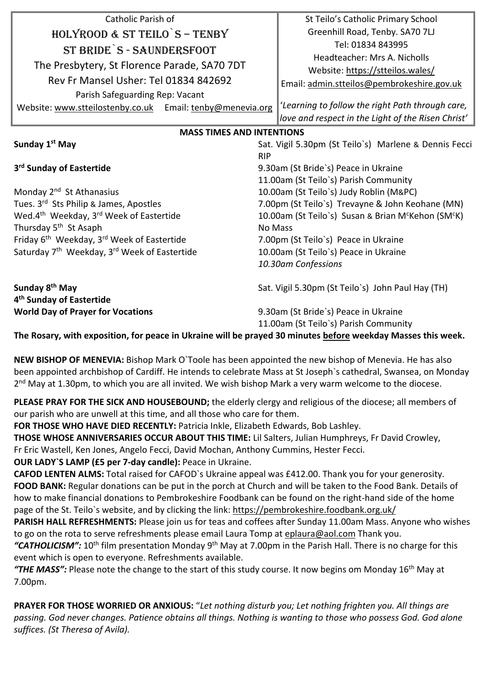| Catholic Parish of                                                   |                                                                | St Teilo's Catholic Primary School                    |  |
|----------------------------------------------------------------------|----------------------------------------------------------------|-------------------------------------------------------|--|
| HOLYROOD & ST TEILO S - TENBY                                        |                                                                | Greenhill Road, Tenby. SA70 7LJ                       |  |
| ST BRIDE S - SAUNDERSFOOT                                            |                                                                | Tel: 01834 843995                                     |  |
| The Presbytery, St Florence Parade, SA70 7DT                         |                                                                | Headteacher: Mrs A. Nicholls                          |  |
|                                                                      |                                                                | Website: https://stteilos.wales/                      |  |
| Rev Fr Mansel Usher: Tel 01834 842692                                |                                                                | Email: admin.stteilos@pembrokeshire.gov.uk            |  |
| Parish Safeguarding Rep: Vacant                                      |                                                                |                                                       |  |
| Website: www.stteilostenby.co.uk Email: tenby@menevia.org            |                                                                | 'Learning to follow the right Path through care,      |  |
|                                                                      |                                                                | love and respect in the Light of the Risen Christ'    |  |
| <b>MASS TIMES AND INTENTIONS</b>                                     |                                                                |                                                       |  |
| Sunday 1 <sup>st</sup> May                                           |                                                                | Sat. Vigil 5.30pm (St Teilo's) Marlene & Dennis Fecci |  |
|                                                                      | <b>RIP</b>                                                     |                                                       |  |
| 3rd Sunday of Eastertide                                             |                                                                | 9.30am (St Bride's) Peace in Ukraine                  |  |
|                                                                      | 11.00am (St Teilo's) Parish Community                          |                                                       |  |
| Monday 2 <sup>nd</sup> St Athanasius                                 | 10.00am (St Teilo's) Judy Roblin (M&PC)                        |                                                       |  |
| Tues. 3rd Sts Philip & James, Apostles                               | 7.00pm (St Teilo's) Trevayne & John Keohane (MN)               |                                                       |  |
| Wed.4th Weekday, 3rd Week of Eastertide                              | 10.00am (St Teilo's) Susan & Brian M <sup>c</sup> Kehon (SMCK) |                                                       |  |
| Thursday 5 <sup>th</sup> St Asaph                                    |                                                                | <b>No Mass</b>                                        |  |
| Friday 6 <sup>th</sup> Weekday, 3 <sup>rd</sup> Week of Eastertide   |                                                                | 7.00pm (St Teilo's) Peace in Ukraine                  |  |
| Saturday 7 <sup>th</sup> Weekday, 3 <sup>rd</sup> Week of Eastertide |                                                                | 10.00am (St Teilo's) Peace in Ukraine                 |  |
|                                                                      |                                                                | 10.30am Confessions                                   |  |
| Sunday 8 <sup>th</sup> May<br>4 <sup>th</sup> Sunday of Eastertide   |                                                                | Sat. Vigil 5.30pm (St Teilo's) John Paul Hay (TH)     |  |
| <b>World Day of Prayer for Vocations</b>                             |                                                                | 9.30am (St Bride's) Peace in Ukraine                  |  |
|                                                                      |                                                                | 11.00am (St Teilo's) Parish Community                 |  |

**The Rosary, with exposition, for peace in Ukraine will be prayed 30 minutes before weekday Masses this week.**

**NEW BISHOP OF MENEVIA:** Bishop Mark O`Toole has been appointed the new bishop of Menevia. He has also been appointed archbishop of Cardiff. He intends to celebrate Mass at St Joseph`s cathedral, Swansea, on Monday 2<sup>nd</sup> May at 1.30pm, to which you are all invited. We wish bishop Mark a very warm welcome to the diocese.

**PLEASE PRAY FOR THE SICK AND HOUSEBOUND;** the elderly clergy and religious of the diocese; all members of our parish who are unwell at this time, and all those who care for them.

**FOR THOSE WHO HAVE DIED RECENTLY:** Patricia Inkle, Elizabeth Edwards, Bob Lashley.

**THOSE WHOSE ANNIVERSARIES OCCUR ABOUT THIS TIME:** Lil Salters, Julian Humphreys, Fr David Crowley, Fr Eric Wastell, Ken Jones, Angelo Fecci, David Mochan, Anthony Cummins, Hester Fecci.

**OUR LADY`S LAMP (£5 per 7-day candle):** Peace in Ukraine.

**CAFOD LENTEN ALMS:** Total raised for CAFOD`s Ukraine appeal was £412.00. Thank you for your generosity. **FOOD BANK:** Regular donations can be put in the porch at Church and will be taken to the Food Bank. Details of how to make financial donations to Pembrokeshire Foodbank can be found on the right-hand side of the home page of the St. Teilo`s website, and by clicking the link:<https://pembrokeshire.foodbank.org.uk/>

**PARISH HALL REFRESHMENTS:** Please join us for teas and coffees after Sunday 11.00am Mass. Anyone who wishes to go on the rota to serve refreshments please email Laura Tomp at [eplaura@aol.com](mailto:eplaura@aol.com) Thank you.

"CATHOLICISM": 10<sup>th</sup> film presentation Monday 9<sup>th</sup> May at 7.00pm in the Parish Hall. There is no charge for this event which is open to everyone. Refreshments available.

*"THE MASS":* Please note the change to the start of this study course. It now begins om Monday 16th May at 7.00pm.

**PRAYER FOR THOSE WORRIED OR ANXIOUS:** "*Let nothing disturb you; Let nothing frighten you. All things are passing. God never changes. Patience obtains all things. Nothing is wanting to those who possess God. God alone suffices. (St Theresa of Avila).*